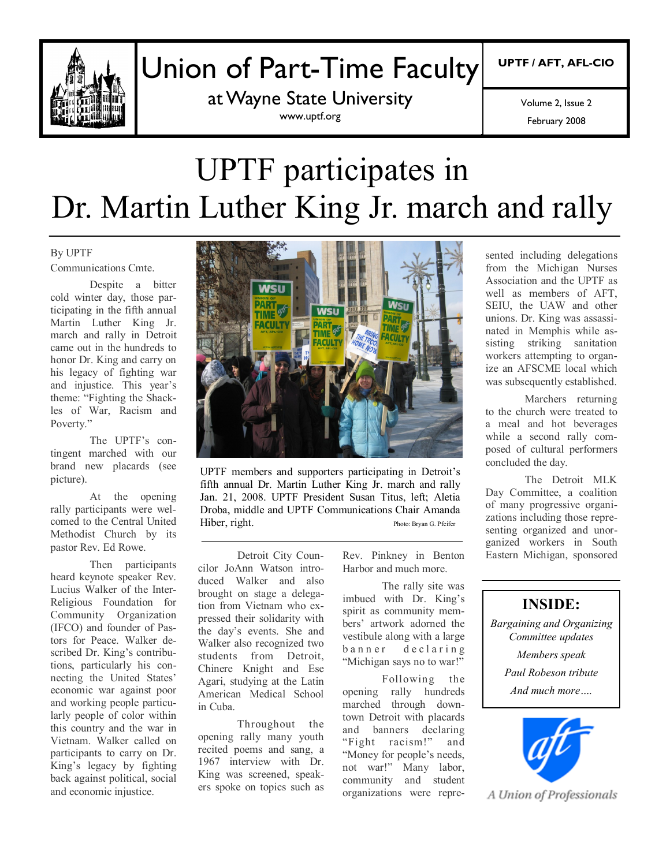

## Union of Part-Time Faculty

at Wayne State University www.uptf.org

**UPTF / AFT, AFL-CIO**

February 2008 Volume 2, Issue 2

# UPTF participates in Dr. Martin Luther King Jr. march and rally

#### By UPTF Communications Cmte.

Despite a bitter cold winter day, those participating in the fifth annual Martin Luther King Jr. march and rally in Detroit came out in the hundreds to honor Dr. King and carry on his legacy of fighting war and injustice. This year's theme: "Fighting the Shackles of War, Racism and Poverty."

The UPTF's contingent marched with our brand new placards (see picture).

At the opening rally participants were welcomed to the Central United Methodist Church by its pastor Rev. Ed Rowe.

Then participants heard keynote speaker Rev. Lucius Walker of the Inter-Religious Foundation for Community Organization (IFCO) and founder of Pastors for Peace. Walker described Dr. King's contributions, particularly his connecting the United States' economic war against poor and working people particularly people of color within this country and the war in Vietnam. Walker called on participants to carry on Dr. King's legacy by fighting back against political, social and economic injustice.



UPTF members and supporters participating in Detroit's fifth annual Dr. Martin Luther King Jr. march and rally Jan. 21, 2008. UPTF President Susan Titus, left; Aletia Droba, middle and UPTF Communications Chair Amanda Hiber, right. Photo: Bryan G. Pfeifer

Detroit City Councilor JoAnn Watson introduced Walker and also brought on stage a delegation from Vietnam who expressed their solidarity with the day's events. She and Walker also recognized two students from Detroit, Chinere Knight and Ese Agari, studying at the Latin American Medical School in Cuba.

Throughout the opening rally many youth recited poems and sang, a 1967 interview with Dr. King was screened, speakers spoke on topics such as

Rev. Pinkney in Benton Harbor and much more.

The rally site was imbued with Dr. King's spirit as community members' artwork adorned the vestibule along with a large banner declaring "Michigan says no to war!"

Following the opening rally hundreds marched through downtown Detroit with placards and banners declaring "Fight racism!" and "Money for people's needs, not war!" Many labor, community and student organizations were represented including delegations from the Michigan Nurses Association and the UPTF as well as members of AFT. SEIU, the UAW and other unions. Dr. King was assassinated in Memphis while assisting striking sanitation workers attempting to organize an AFSCME local which was subsequently established.

Marchers returning to the church were treated to a meal and hot beverages while a second rally composed of cultural performers concluded the day.

The Detroit MLK Day Committee, a coalition of many progressive organizations including those representing organized and unorganized workers in South Eastern Michigan, sponsored

#### **INSIDE:**

*Bargaining and Organizing Committee updates Members speak Paul Robeson tribute* 

*And much more….*



A Union of Professionals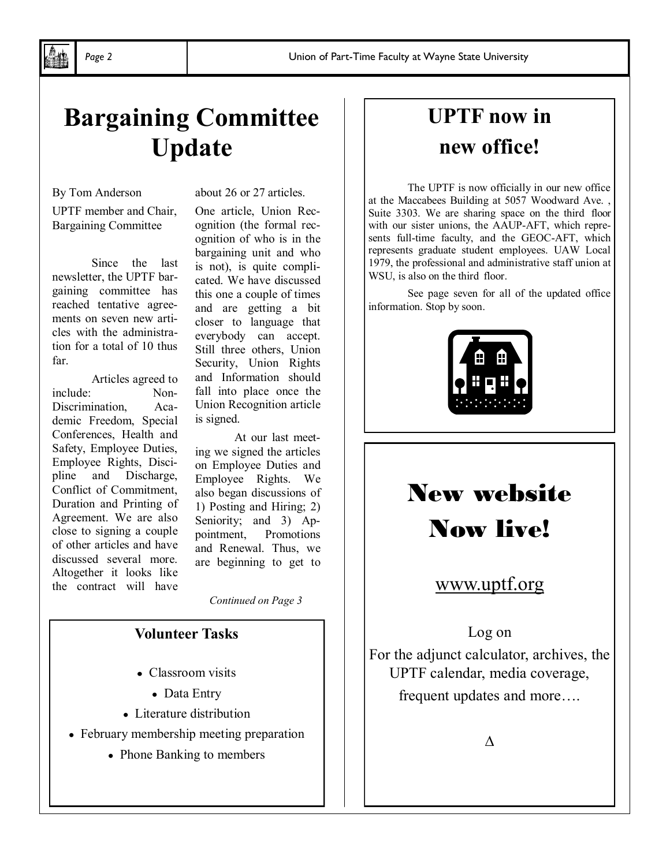## **Bargaining Committee Update**

By Tom Anderson

UPTF member and Chair, Bargaining Committee

Since the last newsletter, the UPTF bargaining committee has reached tentative agreements on seven new articles with the administration for a total of 10 thus far.

Articles agreed to include: Non-Discrimination, Academic Freedom, Special Conferences, Health and Safety, Employee Duties, Employee Rights, Discipline and Discharge, Conflict of Commitment, Duration and Printing of Agreement. We are also close to signing a couple of other articles and have discussed several more. Altogether it looks like the contract will have

about 26 or 27 articles.

One article, Union Recognition (the formal recognition of who is in the bargaining unit and who is not), is quite complicated. We have discussed this one a couple of times and are getting a bit closer to language that everybody can accept. Still three others, Union Security, Union Rights and Information should fall into place once the Union Recognition article is signed.

At our last meeting we signed the articles on Employee Duties and Employee Rights. We also began discussions of 1) Posting and Hiring; 2) Seniority; and 3) Appointment, Promotions and Renewal. Thus, we are beginning to get to

*Continued on Page 3*

#### **Volunteer Tasks**

- Classroom visits
	- Data Entry
- Literature distribution
- February membership meeting preparation
	- Phone Banking to members

## **UPTF now in new office!**

The UPTF is now officially in our new office at the Maccabees Building at 5057 Woodward Ave. , Suite 3303. We are sharing space on the third floor with our sister unions, the AAUP-AFT, which represents full-time faculty, and the GEOC-AFT, which represents graduate student employees. UAW Local 1979, the professional and administrative staff union at WSU, is also on the third floor.

See page seven for all of the updated office information. Stop by soon.



## New website Now live!

### www.uptf.org

Log on

For the adjunct calculator, archives, the UPTF calendar, media coverage, frequent updates and more….

∆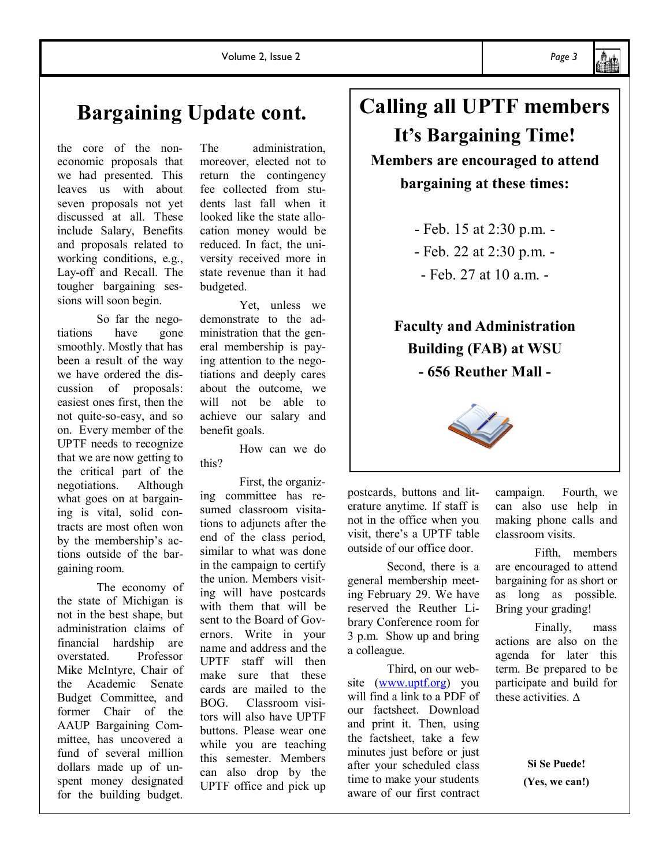## **Bargaining Update cont.**

the core of the noneconomic proposals that we had presented. This leaves us with about seven proposals not yet discussed at all. These include Salary, Benefits and proposals related to working conditions, e.g., Lay-off and Recall. The tougher bargaining sessions will soon begin.

So far the negotiations have gone smoothly. Mostly that has been a result of the way we have ordered the discussion of proposals: easiest ones first, then the not quite-so-easy, and so on. Every member of the UPTF needs to recognize that we are now getting to the critical part of the negotiations. Although what goes on at bargaining is vital, solid contracts are most often won by the membership's actions outside of the bargaining room.

The economy of the state of Michigan is not in the best shape, but administration claims of financial hardship are overstated. Professor Mike McIntyre, Chair of the Academic Senate Budget Committee, and former Chair of the AAUP Bargaining Committee, has uncovered a fund of several million dollars made up of unspent money designated for the building budget.

The administration, moreover, elected not to return the contingency fee collected from students last fall when it looked like the state allocation money would be reduced. In fact, the university received more in state revenue than it had budgeted.

Yet, unless we demonstrate to the administration that the general membership is paying attention to the negotiations and deeply cares about the outcome, we will not be able to achieve our salary and benefit goals.

How can we do this?

First, the organizing committee has resumed classroom visitations to adjuncts after the end of the class period, similar to what was done in the campaign to certify the union. Members visiting will have postcards with them that will be sent to the Board of Governors. Write in your name and address and the UPTF staff will then make sure that these cards are mailed to the BOG. Classroom visitors will also have UPTF buttons. Please wear one while you are teaching this semester. Members can also drop by the UPTF office and pick up

## **Calling all UPTF members It's Bargaining Time!**

**Members are encouraged to attend bargaining at these times:**

> - Feb. 15 at 2:30 p.m. - - Feb. 22 at 2:30 p.m. -  $-$  Feb. 27 at 10 a.m.  $-$

## **Faculty and Administration Building (FAB) at WSU - 656 Reuther Mall -**



postcards, buttons and literature anytime. If staff is not in the office when you visit, there's a UPTF table outside of our office door.

Second, there is a general membership meeting February 29. We have reserved the Reuther Library Conference room for 3 p.m. Show up and bring a colleague.

Third, on our website (www.uptf.org) you will find a link to a PDF of our factsheet. Download and print it. Then, using the factsheet, take a few minutes just before or just after your scheduled class time to make your students aware of our first contract campaign. Fourth, we can also use help in making phone calls and classroom visits.

Fifth, members are encouraged to attend bargaining for as short or as long as possible. Bring your grading!

Finally, mass actions are also on the agenda for later this term. Be prepared to be participate and build for these activities. ∆

> **Si Se Puede! (Yes, we can!)**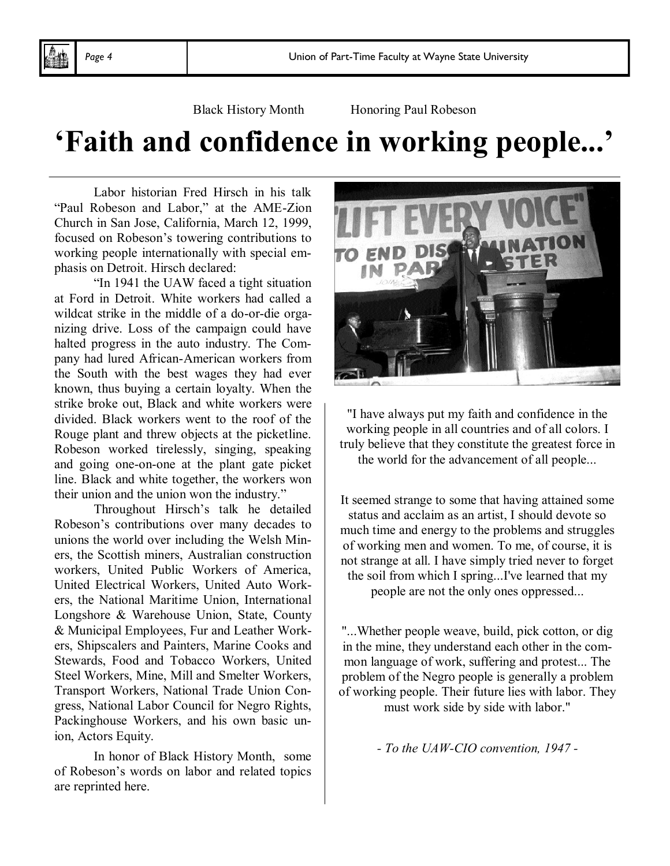Black History Month Honoring Paul Robeson

## **'Faith and confidence in working people...'**

Labor historian Fred Hirsch in his talk "Paul Robeson and Labor," at the AME-Zion Church in San Jose, California, March 12, 1999, focused on Robeson's towering contributions to working people internationally with special emphasis on Detroit. Hirsch declared:

"In 1941 the UAW faced a tight situation at Ford in Detroit. White workers had called a wildcat strike in the middle of a do-or-die organizing drive. Loss of the campaign could have halted progress in the auto industry. The Company had lured African-American workers from the South with the best wages they had ever known, thus buying a certain loyalty. When the strike broke out, Black and white workers were divided. Black workers went to the roof of the Rouge plant and threw objects at the picketline. Robeson worked tirelessly, singing, speaking and going one-on-one at the plant gate picket line. Black and white together, the workers won their union and the union won the industry."

Throughout Hirsch's talk he detailed Robeson's contributions over many decades to unions the world over including the Welsh Miners, the Scottish miners, Australian construction workers, United Public Workers of America, United Electrical Workers, United Auto Workers, the National Maritime Union, International Longshore & Warehouse Union, State, County & Municipal Employees, Fur and Leather Workers, Shipscalers and Painters, Marine Cooks and Stewards, Food and Tobacco Workers, United Steel Workers, Mine, Mill and Smelter Workers, Transport Workers, National Trade Union Congress, National Labor Council for Negro Rights, Packinghouse Workers, and his own basic union, Actors Equity.

In honor of Black History Month, some of Robeson's words on labor and related topics are reprinted here.



"I have always put my faith and confidence in the working people in all countries and of all colors. I truly believe that they constitute the greatest force in the world for the advancement of all people...

It seemed strange to some that having attained some status and acclaim as an artist, I should devote so much time and energy to the problems and struggles of working men and women. To me, of course, it is not strange at all. I have simply tried never to forget the soil from which I spring...I've learned that my people are not the only ones oppressed...

"...Whether people weave, build, pick cotton, or dig in the mine, they understand each other in the common language of work, suffering and protest... The problem of the Negro people is generally a problem of working people. Their future lies with labor. They must work side by side with labor."

*- To the UAW-CIO convention, 1947 -*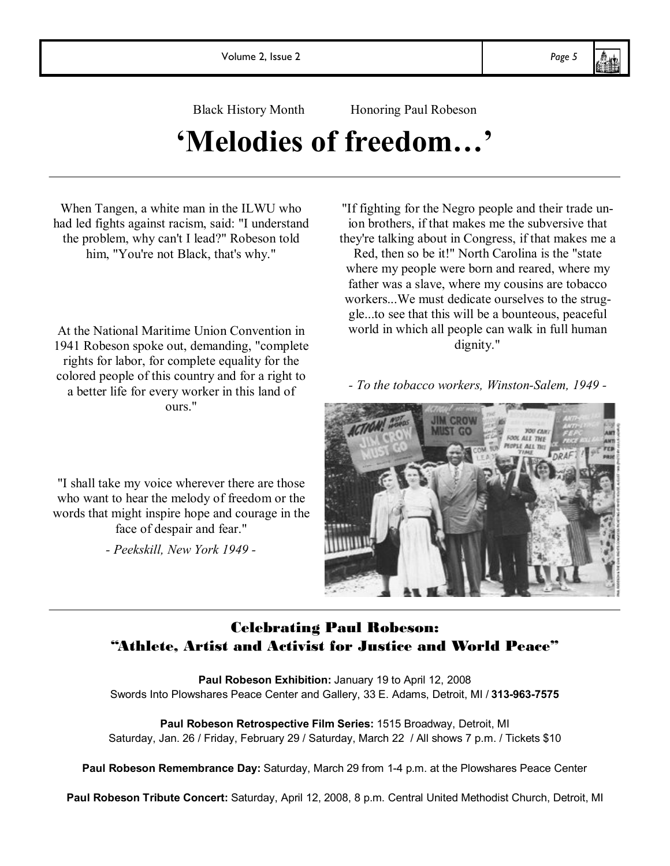Black History Month Honoring Paul Robeson

## **'Melodies of freedom…'**

When Tangen, a white man in the ILWU who had led fights against racism, said: "I understand the problem, why can't I lead?" Robeson told him, "You're not Black, that's why."

At the National Maritime Union Convention in 1941 Robeson spoke out, demanding, "complete rights for labor, for complete equality for the colored people of this country and for a right to a better life for every worker in this land of ours."

"I shall take my voice wherever there are those who want to hear the melody of freedom or the words that might inspire hope and courage in the face of despair and fear." *- Peekskill, New York 1949 -*

"If fighting for the Negro people and their trade union brothers, if that makes me the subversive that they're talking about in Congress, if that makes me a

Red, then so be it!" North Carolina is the "state where my people were born and reared, where my father was a slave, where my cousins are tobacco workers...We must dedicate ourselves to the struggle...to see that this will be a bounteous, peaceful world in which all people can walk in full human dignity."

*- To the tobacco workers, Winston-Salem, 1949 -*



### Celebrating Paul Robeson: "Athlete, Artist and Activist for Justice and World Peace"

Paul Robeson Exhibition: January 19 to April 12, 2008 Swords Into Plowshares Peace Center and Gallery, 33 E. Adams, Detroit, MI / **313-963-7575**

**Paul Robeson Retrospective Film Series:** 1515 Broadway, Detroit, MI Saturday, Jan. 26 / Friday, February 29 / Saturday, March 22 / All shows 7 p.m. / Tickets \$10

**Paul Robeson Remembrance Day:** Saturday, March 29 from 1-4 p.m. at the Plowshares Peace Center

**Paul Robeson Tribute Concert:** Saturday, April 12, 2008, 8 p.m. Central United Methodist Church, Detroit, MI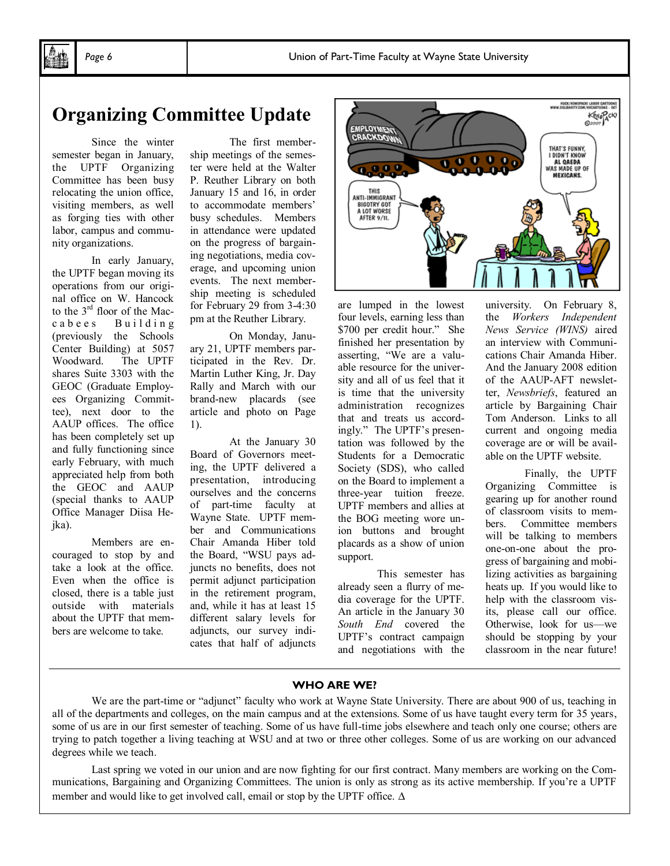### **Organizing Committee Update**

Since the winter semester began in January, the UPTF Organizing Committee has been busy relocating the union office, visiting members, as well as forging ties with other labor, campus and community organizations.

In early January, the UPTF began moving its operations from our original office on W. Hancock to the 3rd floor of the Maccabees Building (previously the Schools Center Building) at 5057 Woodward. The UPTF shares Suite 3303 with the GEOC (Graduate Employees Organizing Committee), next door to the AAUP offices. The office has been completely set up and fully functioning since early February, with much appreciated help from both the GEOC and AAUP (special thanks to AAUP Office Manager Diisa Hejka).

Members are encouraged to stop by and take a look at the office. Even when the office is closed, there is a table just outside with materials about the UPTF that members are welcome to take.

The first membership meetings of the semester were held at the Walter P. Reuther Library on both January 15 and 16, in order to accommodate members' busy schedules. Members in attendance were updated on the progress of bargaining negotiations, media coverage, and upcoming union events. The next membership meeting is scheduled for February 29 from 3-4:30 pm at the Reuther Library.

On Monday, January 21, UPTF members participated in the Rev. Dr. Martin Luther King, Jr. Day Rally and March with our brand-new placards (see article and photo on Page 1).

At the January 30 Board of Governors meeting, the UPTF delivered a presentation, introducing ourselves and the concerns of part-time faculty at Wayne State. UPTF member and Communications Chair Amanda Hiber told the Board, "WSU pays adjuncts no benefits, does not permit adjunct participation in the retirement program, and, while it has at least 15 different salary levels for adjuncts, our survey indicates that half of adjuncts



are lumped in the lowest four levels, earning less than \$700 per credit hour." She finished her presentation by asserting, "We are a valuable resource for the university and all of us feel that it is time that the university administration recognizes that and treats us accordingly." The UPTF's presentation was followed by the Students for a Democratic Society (SDS), who called on the Board to implement a three-year tuition freeze. UPTF members and allies at the BOG meeting wore union buttons and brought placards as a show of union support.

This semester has already seen a flurry of media coverage for the UPTF. An article in the January 30 *South End* covered the UPTF's contract campaign and negotiations with the

university. On February 8, the *Workers Independent News Service (WINS)* aired an interview with Communications Chair Amanda Hiber. And the January 2008 edition of the AAUP-AFT newsletter, *Newsbriefs*, featured an article by Bargaining Chair Tom Anderson. Links to all current and ongoing media coverage are or will be available on the UPTF website.

Finally, the UPTF Organizing Committee is gearing up for another round of classroom visits to members. Committee members will be talking to members one-on-one about the progress of bargaining and mobilizing activities as bargaining heats up. If you would like to help with the classroom visits, please call our office. Otherwise, look for us—we should be stopping by your classroom in the near future!

#### **WHO ARE WE?**

We are the part-time or "adjunct" faculty who work at Wayne State University. There are about 900 of us, teaching in all of the departments and colleges, on the main campus and at the extensions. Some of us have taught every term for 35 years, some of us are in our first semester of teaching. Some of us have full-time jobs elsewhere and teach only one course; others are trying to patch together a living teaching at WSU and at two or three other colleges. Some of us are working on our advanced degrees while we teach.

Last spring we voted in our union and are now fighting for our first contract. Many members are working on the Communications, Bargaining and Organizing Committees. The union is only as strong as its active membership. If you're a UPTF member and would like to get involved call, email or stop by the UPTF office. ∆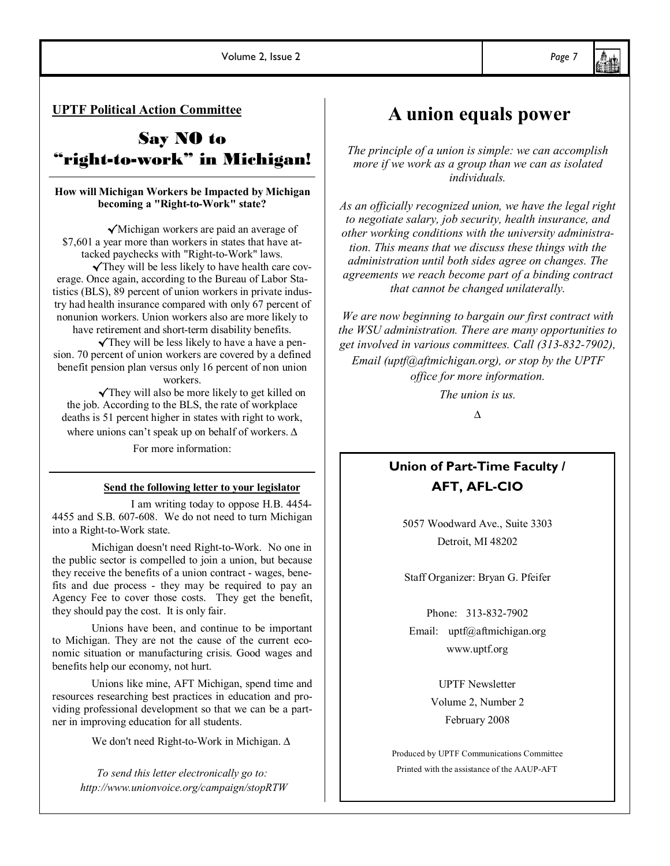**UPTF Political Action Committee**

## Say NO to "right-to-work" in Michigan!

#### **How will Michigan Workers be Impacted by Michigan becoming a "Right-to-Work" state?**

√Michigan workers are paid an average of \$7,601 a year more than workers in states that have attacked paychecks with "Right-to-Work" laws.

√They will be less likely to have health care coverage. Once again, according to the Bureau of Labor Statistics (BLS), 89 percent of union workers in private industry had health insurance compared with only 67 percent of nonunion workers. Union workers also are more likely to

have retirement and short-term disability benefits. √They will be less likely to have a have a pension. 70 percent of union workers are covered by a defined benefit pension plan versus only 16 percent of non union workers.

√They will also be more likely to get killed on the job. According to the BLS, the rate of workplace deaths is 51 percent higher in states with right to work, where unions can't speak up on behalf of workers. ∆

For more information:

#### **Send the following letter to your legislator**

I am writing today to oppose H.B. 4454- 4455 and S.B. 607-608. We do not need to turn Michigan into a Right-to-Work state.

Michigan doesn't need Right-to-Work. No one in the public sector is compelled to join a union, but because they receive the benefits of a union contract - wages, benefits and due process - they may be required to pay an Agency Fee to cover those costs. They get the benefit, they should pay the cost. It is only fair.

Unions have been, and continue to be important to Michigan. They are not the cause of the current economic situation or manufacturing crisis. Good wages and benefits help our economy, not hurt.

Unions like mine, AFT Michigan, spend time and resources researching best practices in education and providing professional development so that we can be a partner in improving education for all students.

We don't need Right-to-Work in Michigan. ∆

*To send this letter electronically go to: http://www.unionvoice.org/campaign/stopRTW*

## **A union equals power**

*The principle of a union is simple: we can accomplish more if we work as a group than we can as isolated individuals.* 

*As an officially recognized union, we have the legal right to negotiate salary, job security, health insurance, and other working conditions with the university administration. This means that we discuss these things with the administration until both sides agree on changes. The agreements we reach become part of a binding contract that cannot be changed unilaterally.* 

*We are now beginning to bargain our first contract with the WSU administration. There are many opportunities to get involved in various committees. Call (313-832-7902), Email (uptf@aftmichigan.org), or stop by the UPTF office for more information.* 

*The union is us.*

*∆*

### **Union of Part-Time Faculty / AFT, AFL-CIO**

5057 Woodward Ave., Suite 3303 Detroit, MI 48202

Staff Organizer: Bryan G. Pfeifer

Phone: 313-832-7902 Email: uptf@aftmichigan.org www.uptf.org

> UPTF Newsletter Volume 2, Number 2 February 2008

Produced by UPTF Communications Committee Printed with the assistance of the AAUP-AFT